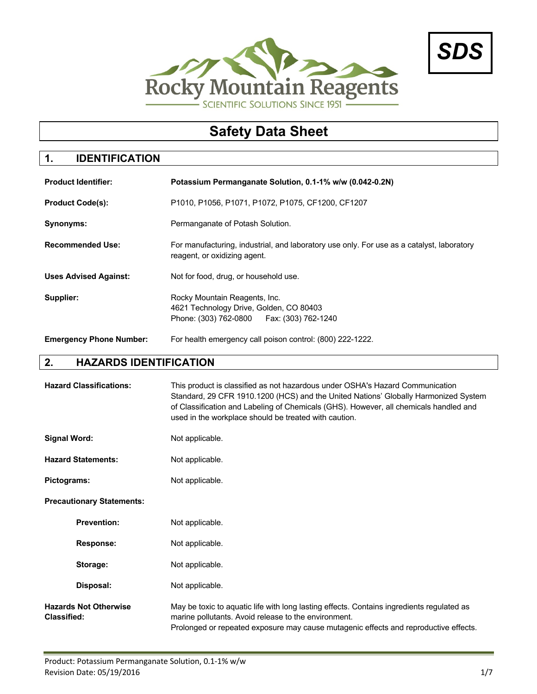



# **Safety Data Sheet**

## **1. IDENTIFICATION**

| <b>Product Identifier:</b>     | Potassium Permanganate Solution, 0.1-1% w/w (0.042-0.2N)                                                                  |
|--------------------------------|---------------------------------------------------------------------------------------------------------------------------|
| <b>Product Code(s):</b>        | P1010, P1056, P1071, P1072, P1075, CF1200, CF1207                                                                         |
| Synonyms:                      | Permanganate of Potash Solution.                                                                                          |
| <b>Recommended Use:</b>        | For manufacturing, industrial, and laboratory use only. For use as a catalyst, laboratory<br>reagent, or oxidizing agent. |
| <b>Uses Advised Against:</b>   | Not for food, drug, or household use.                                                                                     |
| Supplier:                      | Rocky Mountain Reagents, Inc.<br>4621 Technology Drive, Golden, CO 80403<br>Phone: (303) 762-0800   Fax: (303) 762-1240   |
| <b>Emergency Phone Number:</b> | For health emergency call poison control: (800) 222-1222.                                                                 |

## **2. HAZARDS IDENTIFICATION**

| <b>Hazard Classifications:</b>                     | This product is classified as not hazardous under OSHA's Hazard Communication<br>Standard, 29 CFR 1910.1200 (HCS) and the United Nations' Globally Harmonized System<br>of Classification and Labeling of Chemicals (GHS). However, all chemicals handled and<br>used in the workplace should be treated with caution. |  |
|----------------------------------------------------|------------------------------------------------------------------------------------------------------------------------------------------------------------------------------------------------------------------------------------------------------------------------------------------------------------------------|--|
| <b>Signal Word:</b>                                | Not applicable.                                                                                                                                                                                                                                                                                                        |  |
| <b>Hazard Statements:</b>                          | Not applicable.                                                                                                                                                                                                                                                                                                        |  |
| Pictograms:                                        | Not applicable.                                                                                                                                                                                                                                                                                                        |  |
| <b>Precautionary Statements:</b>                   |                                                                                                                                                                                                                                                                                                                        |  |
| <b>Prevention:</b>                                 | Not applicable.                                                                                                                                                                                                                                                                                                        |  |
| <b>Response:</b>                                   | Not applicable.                                                                                                                                                                                                                                                                                                        |  |
| Storage:                                           | Not applicable.                                                                                                                                                                                                                                                                                                        |  |
| Disposal:                                          | Not applicable.                                                                                                                                                                                                                                                                                                        |  |
| <b>Hazards Not Otherwise</b><br><b>Classified:</b> | May be toxic to aquatic life with long lasting effects. Contains ingredients regulated as<br>marine pollutants. Avoid release to the environment.<br>Prolonged or repeated exposure may cause mutagenic effects and reproductive effects.                                                                              |  |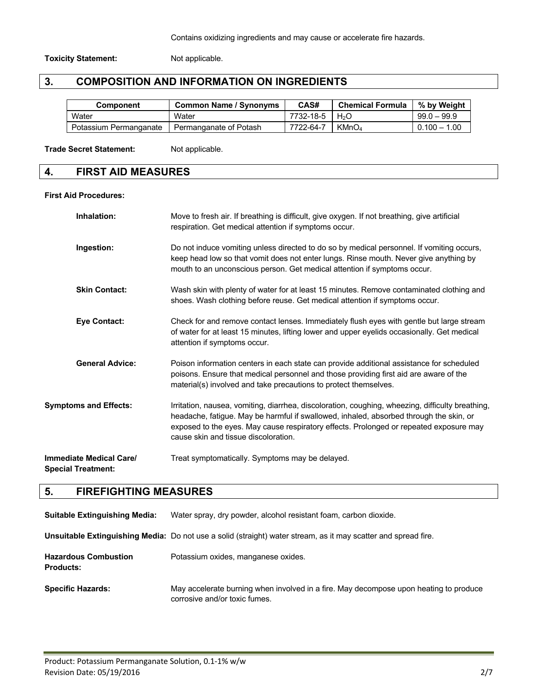#### **Toxicity Statement:** Not applicable.

## **3. COMPOSITION AND INFORMATION ON INGREDIENTS**

| <b>Component</b>       | <b>Common Name / Synonyms</b> | CAS#                              | <b>Chemical Formula</b> | % by Weight    |
|------------------------|-------------------------------|-----------------------------------|-------------------------|----------------|
| Water                  | Water                         | 7732-18-5 $\mid$ H <sub>2</sub> O |                         | $99.0 - 99.9$  |
| Potassium Permanganate | Permanganate of Potash        | 7722-64-7                         | KMnO <sub>4</sub>       | $0.100 - 1.00$ |

#### Trade Secret Statement: Not applicable.

## **4. FIRST AID MEASURES**

#### **First Aid Procedures:**

| Inhalation:                                                 | Move to fresh air. If breathing is difficult, give oxygen. If not breathing, give artificial<br>respiration. Get medical attention if symptoms occur.                                                                                                                                                                        |
|-------------------------------------------------------------|------------------------------------------------------------------------------------------------------------------------------------------------------------------------------------------------------------------------------------------------------------------------------------------------------------------------------|
| Ingestion:                                                  | Do not induce vomiting unless directed to do so by medical personnel. If vomiting occurs,<br>keep head low so that vomit does not enter lungs. Rinse mouth. Never give anything by<br>mouth to an unconscious person. Get medical attention if symptoms occur.                                                               |
| <b>Skin Contact:</b>                                        | Wash skin with plenty of water for at least 15 minutes. Remove contaminated clothing and<br>shoes. Wash clothing before reuse. Get medical attention if symptoms occur.                                                                                                                                                      |
| <b>Eye Contact:</b>                                         | Check for and remove contact lenses. Immediately flush eyes with gentle but large stream<br>of water for at least 15 minutes, lifting lower and upper eyelids occasionally. Get medical<br>attention if symptoms occur.                                                                                                      |
| <b>General Advice:</b>                                      | Poison information centers in each state can provide additional assistance for scheduled<br>poisons. Ensure that medical personnel and those providing first aid are aware of the<br>material(s) involved and take precautions to protect themselves.                                                                        |
| <b>Symptoms and Effects:</b>                                | Irritation, nausea, vomiting, diarrhea, discoloration, coughing, wheezing, difficulty breathing,<br>headache, fatigue. May be harmful if swallowed, inhaled, absorbed through the skin, or<br>exposed to the eyes. May cause respiratory effects. Prolonged or repeated exposure may<br>cause skin and tissue discoloration. |
| <b>Immediate Medical Care/</b><br><b>Special Treatment:</b> | Treat symptomatically. Symptoms may be delayed.                                                                                                                                                                                                                                                                              |

## **5. FIREFIGHTING MEASURES**

| <b>Suitable Extinguishing Media:</b>            | Water spray, dry powder, alcohol resistant foam, carbon dioxide.                                                       |
|-------------------------------------------------|------------------------------------------------------------------------------------------------------------------------|
|                                                 | <b>Unsuitable Extinguishing Media:</b> Do not use a solid (straight) water stream, as it may scatter and spread fire.  |
| <b>Hazardous Combustion</b><br><b>Products:</b> | Potassium oxides, manganese oxides.                                                                                    |
| <b>Specific Hazards:</b>                        | May accelerate burning when involved in a fire. May decompose upon heating to produce<br>corrosive and/or toxic fumes. |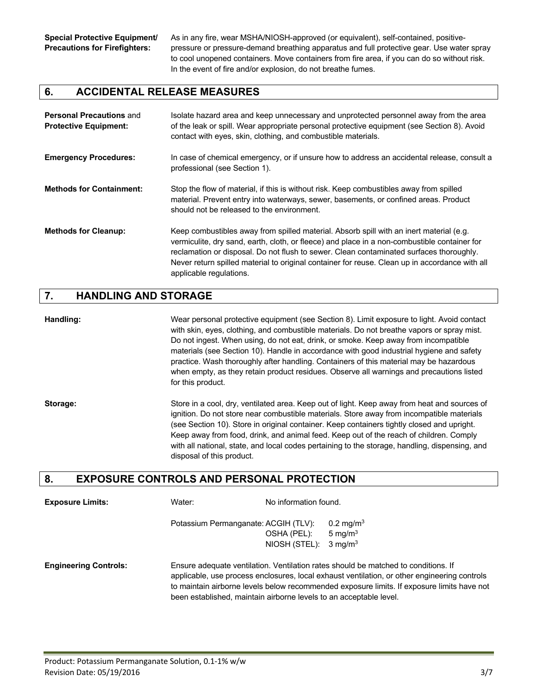**Special Protective Equipment/** As in any fire, wear MSHA/NIOSH-approved (or equivalent), self-contained, positive-**Precautions for Firefighters:** pressure or pressure-demand breathing apparatus and full protective gear. Use water spray to cool unopened containers. Move containers from fire area, if you can do so without risk. In the event of fire and/or explosion, do not breathe fumes.

### **6. ACCIDENTAL RELEASE MEASURES**

| <b>Personal Precautions and</b><br><b>Protective Equipment:</b> | Isolate hazard area and keep unnecessary and unprotected personnel away from the area<br>of the leak or spill. Wear appropriate personal protective equipment (see Section 8). Avoid<br>contact with eyes, skin, clothing, and combustible materials.                                                                                                                                                           |
|-----------------------------------------------------------------|-----------------------------------------------------------------------------------------------------------------------------------------------------------------------------------------------------------------------------------------------------------------------------------------------------------------------------------------------------------------------------------------------------------------|
| <b>Emergency Procedures:</b>                                    | In case of chemical emergency, or if unsure how to address an accidental release, consult a<br>professional (see Section 1).                                                                                                                                                                                                                                                                                    |
| <b>Methods for Containment:</b>                                 | Stop the flow of material, if this is without risk. Keep combustibles away from spilled<br>material. Prevent entry into waterways, sewer, basements, or confined areas. Product<br>should not be released to the environment.                                                                                                                                                                                   |
| <b>Methods for Cleanup:</b>                                     | Keep combustibles away from spilled material. Absorb spill with an inert material (e.g.<br>vermiculite, dry sand, earth, cloth, or fleece) and place in a non-combustible container for<br>reclamation or disposal. Do not flush to sewer. Clean contaminated surfaces thoroughly.<br>Never return spilled material to original container for reuse. Clean up in accordance with all<br>applicable regulations. |

#### **7. HANDLING AND STORAGE**

**Handling:** Wear personal protective equipment (see Section 8). Limit exposure to light. Avoid contact with skin, eyes, clothing, and combustible materials. Do not breathe vapors or spray mist. Do not ingest. When using, do not eat, drink, or smoke. Keep away from incompatible materials (see Section 10). Handle in accordance with good industrial hygiene and safety practice. Wash thoroughly after handling. Containers of this material may be hazardous when empty, as they retain product residues. Observe all warnings and precautions listed for this product.

**Storage:** Store in a cool, dry, ventilated area. Keep out of light. Keep away from heat and sources of ignition. Do not store near combustible materials. Store away from incompatible materials (see Section 10). Store in original container. Keep containers tightly closed and upright. Keep away from food, drink, and animal feed. Keep out of the reach of children. Comply with all national, state, and local codes pertaining to the storage, handling, dispensing, and disposal of this product.

### **8. EXPOSURE CONTROLS AND PERSONAL PROTECTION**

| <b>Exposure Limits:</b>      | Water: | No information found.                                                                                                                                                              |                       |  |
|------------------------------|--------|------------------------------------------------------------------------------------------------------------------------------------------------------------------------------------|-----------------------|--|
|                              |        | Potassium Permanganate: ACGIH (TLV):                                                                                                                                               | 0.2 mg/m <sup>3</sup> |  |
|                              |        | OSHA (PEL):                                                                                                                                                                        | 5 mg/m $3$            |  |
|                              |        | NIOSH (STEL):                                                                                                                                                                      | $3 \text{ ma/m}^3$    |  |
| <b>Engineering Controls:</b> |        | Ensure adequate ventilation. Ventilation rates should be matched to conditions. If<br>applicable, use process enclosures, local exhaust ventilation, or other engineering controls |                       |  |
|                              |        | to maintain airborne levels below recommended exposure limits. If exposure limits have not                                                                                         |                       |  |
|                              |        | been established, maintain airborne levels to an acceptable level.                                                                                                                 |                       |  |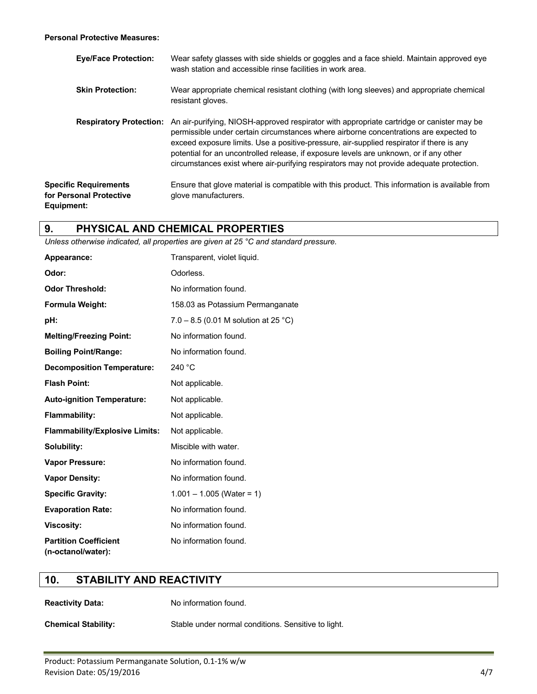#### **Personal Protective Measures:**

| <b>Eye/Face Protection:</b>                                           | Wear safety glasses with side shields or goggles and a face shield. Maintain approved eye<br>wash station and accessible rinse facilities in work area.                                                                                                                                                                                                                                                                                                              |
|-----------------------------------------------------------------------|----------------------------------------------------------------------------------------------------------------------------------------------------------------------------------------------------------------------------------------------------------------------------------------------------------------------------------------------------------------------------------------------------------------------------------------------------------------------|
| <b>Skin Protection:</b>                                               | Wear appropriate chemical resistant clothing (with long sleeves) and appropriate chemical<br>resistant gloves.                                                                                                                                                                                                                                                                                                                                                       |
| <b>Respiratory Protection:</b>                                        | An air-purifying, NIOSH-approved respirator with appropriate cartridge or canister may be<br>permissible under certain circumstances where airborne concentrations are expected to<br>exceed exposure limits. Use a positive-pressure, air-supplied respirator if there is any<br>potential for an uncontrolled release, if exposure levels are unknown, or if any other<br>circumstances exist where air-purifying respirators may not provide adequate protection. |
| <b>Specific Requirements</b><br>for Personal Protective<br>Equipment: | Ensure that glove material is compatible with this product. This information is available from<br>glove manufacturers.                                                                                                                                                                                                                                                                                                                                               |

### **9. PHYSICAL AND CHEMICAL PROPERTIES**

*Unless otherwise indicated, all properties are given at 25 °C and standard pressure.*

| Appearance:                                        | Transparent, violet liquid.          |
|----------------------------------------------------|--------------------------------------|
| Odor:                                              | Odorless.                            |
| <b>Odor Threshold:</b>                             | No information found.                |
| Formula Weight:                                    | 158.03 as Potassium Permanganate     |
| pH:                                                | 7.0 – 8.5 (0.01 M solution at 25 °C) |
| <b>Melting/Freezing Point:</b>                     | No information found.                |
| <b>Boiling Point/Range:</b>                        | No information found.                |
| <b>Decomposition Temperature:</b>                  | 240 °C                               |
| <b>Flash Point:</b>                                | Not applicable.                      |
| <b>Auto-ignition Temperature:</b>                  | Not applicable.                      |
| <b>Flammability:</b>                               | Not applicable.                      |
| <b>Flammability/Explosive Limits:</b>              | Not applicable.                      |
| Solubility:                                        | Miscible with water.                 |
| <b>Vapor Pressure:</b>                             | No information found.                |
| <b>Vapor Density:</b>                              | No information found.                |
| <b>Specific Gravity:</b>                           | $1.001 - 1.005$ (Water = 1)          |
| <b>Evaporation Rate:</b>                           | No information found.                |
| <b>Viscosity:</b>                                  | No information found.                |
| <b>Partition Coefficient</b><br>(n-octanol/water): | No information found.                |

### **10. STABILITY AND REACTIVITY**

**Reactivity Data:** No information found.

**Chemical Stability:** Stable under normal conditions. Sensitive to light.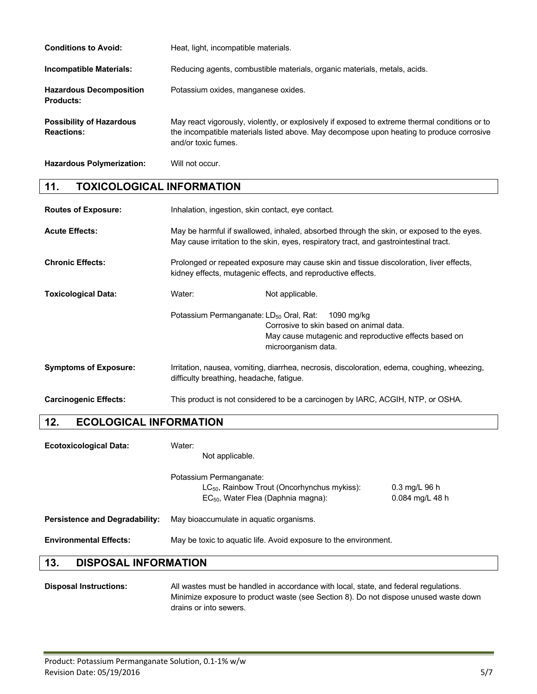| <b>Conditions to Avoid:</b>                          | Heat, light, incompatible materials.                                                                                                                                                                              |
|------------------------------------------------------|-------------------------------------------------------------------------------------------------------------------------------------------------------------------------------------------------------------------|
| <b>Incompatible Materials:</b>                       | Reducing agents, combustible materials, organic materials, metals, acids.                                                                                                                                         |
| <b>Hazardous Decomposition</b><br><b>Products:</b>   | Potassium oxides, manganese oxides.                                                                                                                                                                               |
| <b>Possibility of Hazardous</b><br><b>Reactions:</b> | May react vigorously, violently, or explosively if exposed to extreme thermal conditions or to<br>the incompatible materials listed above. May decompose upon heating to produce corrosive<br>and/or toxic fumes. |

**Hazardous Polymerization:** Will not occur.

## **11. TOXICOLOGICAL INFORMATION**

| <b>Routes of Exposure:</b>   | Inhalation, ingestion, skin contact, eye contact.                                                                                                                                  |                                                                                                                                       |
|------------------------------|------------------------------------------------------------------------------------------------------------------------------------------------------------------------------------|---------------------------------------------------------------------------------------------------------------------------------------|
| <b>Acute Effects:</b>        | May be harmful if swallowed, inhaled, absorbed through the skin, or exposed to the eyes.<br>May cause irritation to the skin, eyes, respiratory tract, and gastrointestinal tract. |                                                                                                                                       |
| <b>Chronic Effects:</b>      | Prolonged or repeated exposure may cause skin and tissue discoloration, liver effects,<br>kidney effects, mutagenic effects, and reproductive effects.                             |                                                                                                                                       |
| <b>Toxicological Data:</b>   | Water:                                                                                                                                                                             | Not applicable.                                                                                                                       |
|                              | Potassium Permanganate: LD <sub>50</sub> Oral, Rat:                                                                                                                                | 1090 mg/kg<br>Corrosive to skin based on animal data.<br>May cause mutagenic and reproductive effects based on<br>microorganism data. |
| <b>Symptoms of Exposure:</b> | difficulty breathing, headache, fatique.                                                                                                                                           | Irritation, nausea, vomiting, diarrhea, necrosis, discoloration, edema, coughing, wheezing,                                           |
| <b>Carcinogenic Effects:</b> | This product is not considered to be a carcinogen by IARC, ACGIH, NTP, or OSHA.                                                                                                    |                                                                                                                                       |

## **12. ECOLOGICAL INFORMATION**

| <b>Ecotoxicological Data:</b>         | Water:<br>Not applicable.                                                                                                            |                                            |
|---------------------------------------|--------------------------------------------------------------------------------------------------------------------------------------|--------------------------------------------|
|                                       | Potassium Permanganate:<br>LC <sub>50</sub> , Rainbow Trout (Oncorhynchus mykiss):<br>EC <sub>50</sub> , Water Flea (Daphnia magna): | $0.3 \text{ ma/L}$ 96 h<br>0.084 mg/L 48 h |
| <b>Persistence and Degradability:</b> | May bioaccumulate in aquatic organisms.                                                                                              |                                            |
| <b>Environmental Effects:</b>         | May be toxic to aquatic life. Avoid exposure to the environment.                                                                     |                                            |

### **13. DISPOSAL INFORMATION**

**Disposal Instructions:** All wastes must be handled in accordance with local, state, and federal regulations. Minimize exposure to product waste (see Section 8). Do not dispose unused waste down drains or into sewers.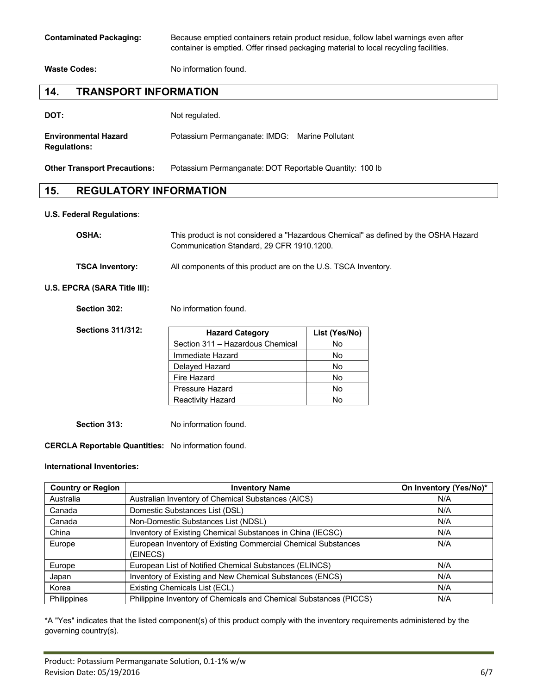**Contaminated Packaging:** Because emptied containers retain product residue, follow label warnings even after container is emptied. Offer rinsed packaging material to local recycling facilities.

**Waste Codes:** No information found.

### **14. TRANSPORT INFORMATION**

| DOT: | Not regulated. |
|------|----------------|
|      |                |

| <b>Environmental Hazard</b> | Potassium Permanganate: IMDG: Marine Pollutant |  |
|-----------------------------|------------------------------------------------|--|
| <b>Regulations:</b>         |                                                |  |

**Other Transport Precautions:** Potassium Permanganate: DOT Reportable Quantity: 100 lb

#### **15. REGULATORY INFORMATION**

#### **U.S. Federal Regulations**:

| <b>OSHA:</b>                             | This product is not considered a "Hazardous Chemical" as defined by the OSHA Hazard<br>Communication Standard, 29 CFR 1910.1200. |
|------------------------------------------|----------------------------------------------------------------------------------------------------------------------------------|
| <b>TSCA Inventory:</b>                   | All components of this product are on the U.S. TSCA Inventory.                                                                   |
| $0.001$ $0.0001$ $0.001$ $0.001$ $0.001$ |                                                                                                                                  |

#### **U.S. EPCRA (SARA Title III):**

**Section 302:** No information found.

| <b>Sections 311/312:</b> | <b>Hazard Category</b>           | List (Yes/No) |
|--------------------------|----------------------------------|---------------|
|                          | Section 311 - Hazardous Chemical | No            |
|                          | Immediate Hazard                 | No            |
|                          | Delayed Hazard                   | No            |
|                          | Fire Hazard                      | No            |
|                          | Pressure Hazard                  | No            |
|                          | <b>Reactivity Hazard</b>         | No            |

**Section 313:** No information found.

#### **CERCLA Reportable Quantities:** No information found.

#### **International Inventories:**

| <b>Country or Region</b> | <b>Inventory Name</b>                                                     | On Inventory (Yes/No)* |
|--------------------------|---------------------------------------------------------------------------|------------------------|
| Australia                | Australian Inventory of Chemical Substances (AICS)                        | N/A                    |
| Canada                   | Domestic Substances List (DSL)                                            | N/A                    |
| Canada                   | Non-Domestic Substances List (NDSL)                                       | N/A                    |
| China                    | Inventory of Existing Chemical Substances in China (IECSC)                | N/A                    |
| Europe                   | European Inventory of Existing Commercial Chemical Substances<br>(EINECS) | N/A                    |
| Europe                   | European List of Notified Chemical Substances (ELINCS)                    | N/A                    |
| Japan                    | Inventory of Existing and New Chemical Substances (ENCS)                  | N/A                    |
| Korea                    | Existing Chemicals List (ECL)                                             | N/A                    |
| Philippines              | Philippine Inventory of Chemicals and Chemical Substances (PICCS)         | N/A                    |

\*A "Yes" indicates that the listed component(s) of this product comply with the inventory requirements administered by the governing country(s).